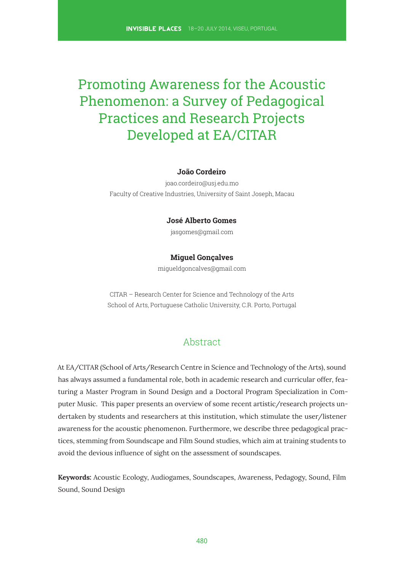# Promoting Awareness for the Acoustic Phenomenon: a Survey of Pedagogical Practices and Research Projects Developed at EA/CITAR

#### **João Cordeiro**

joao.cordeiro@usj.edu.mo Faculty of Creative Industries, University of Saint Joseph, Macau

#### **José Alberto Gomes**

jasgomes@gmail.com

#### **Miguel Gonçalves**

migueldgoncalves@gmail.com

CITAR – Research Center for Science and Technology of the Arts School of Arts, Portuguese Catholic University, C.R. Porto, Portugal

## Abstract

At EA/CITAR (School of Arts/Research Centre in Science and Technology of the Arts), sound has always assumed a fundamental role, both in academic research and curricular offer, featuring a Master Program in Sound Design and a Doctoral Program Specialization in Computer Music. This paper presents an overview of some recent artistic/research projects undertaken by students and researchers at this institution, which stimulate the user/listener awareness for the acoustic phenomenon. Furthermore, we describe three pedagogical practices, stemming from Soundscape and Film Sound studies, which aim at training students to avoid the devious infuence of sight on the assessment of soundscapes.

**Keywords:** Acoustic Ecology, Audiogames, Soundscapes, Awareness, Pedagogy, Sound, Film Sound, Sound Design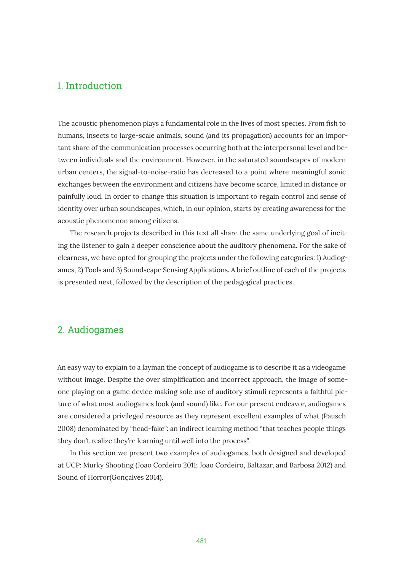## 1. Introduction

The acoustic phenomenon plays a fundamental role in the lives of most species. From fish to humans, insects to large-scale animals, sound (and its propagation) accounts for an important share of the communication processes occurring both at the interpersonal level and between individuals and the environment. However, in the saturated soundscapes of modern urban centers, the signal-to-noise-ratio has decreased to a point where meaningful sonic exchanges between the environment and citizens have become scarce, limited in distance or painfully loud. In order to change this situation is important to regain control and sense of identity over urban soundscapes, which, in our opinion, starts by creating awareness for the acoustic phenomenon among citizens.

The research projects described in this text all share the same underlying goal of inciting the listener to gain a deeper conscience about the auditory phenomena. For the sake of clearness, we have opted for grouping the projects under the following categories: 1) Audiogames, 2) Tools and 3) Soundscape Sensing Applications. A brief outline of each of the projects is presented next, followed by the description of the pedagogical practices.

## 2. Audiogames

An easy way to explain to a layman the concept of audiogame is to describe it as a videogame without image. Despite the over simplifcation and incorrect approach, the image of someone playing on a game device making sole use of auditory stimuli represents a faithful picture of what most audiogames look (and sound) like. For our present endeavor, audiogames are considered a privileged resource as they represent excellent examples of what (Pausch 2008) denominated by "head-fake": an indirect learning method "that teaches people things they don't realize they're learning until well into the process".

In this section we present two examples of audiogames, both designed and developed at UCP: Murky Shooting (Joao Cordeiro 2011; Joao Cordeiro, Baltazar, and Barbosa 2012) and Sound of Horror(Gonçalves 2014).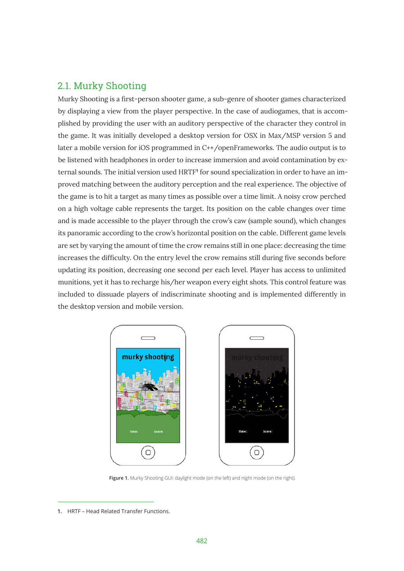# 2.1. Murky Shooting

Murky Shooting is a frst-person shooter game, a sub-genre of shooter games characterized by displaying a view from the player perspective. In the case of audiogames, that is accomplished by providing the user with an auditory perspective of the character they control in the game. It was initially developed a desktop version for OSX in Max/MSP version 5 and later a mobile version for iOS programmed in C++/openFrameworks. The audio output is to be listened with headphones in order to increase immersion and avoid contamination by external sounds. The initial version used HRTF**<sup>1</sup>** for sound specialization in order to have an improved matching between the auditory perception and the real experience. The objective of the game is to hit a target as many times as possible over a time limit. A noisy crow perched on a high voltage cable represents the target. Its position on the cable changes over time and is made accessible to the player through the crow's caw (sample sound), which changes its panoramic according to the crow's horizontal position on the cable. Different game levels are set by varying the amount of time the crow remains still in one place: decreasing the time increases the diffculty. On the entry level the crow remains still during fve seconds before updating its position, decreasing one second per each level. Player has access to unlimited munitions, yet it has to recharge his/her weapon every eight shots. This control feature was included to dissuade players of indiscriminate shooting and is implemented differently in the desktop version and mobile version.



Figure 1. Murky Shooting GUI: daylight mode (on the left) and night mode (on the right).

<sup>1.</sup> HRTF - Head Related Transfer Functions.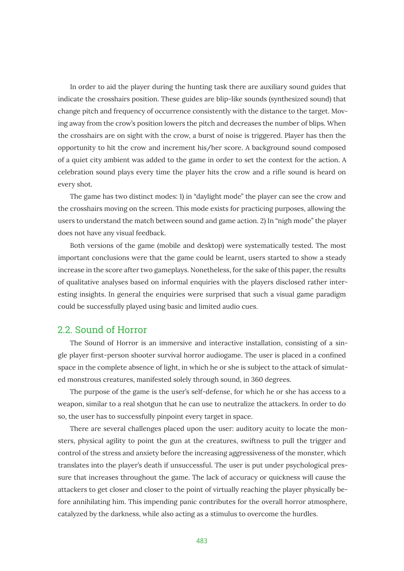In order to aid the player during the hunting task there are auxiliary sound guides that indicate the crosshairs position. These guides are blip-like sounds (synthesized sound) that change pitch and frequency of occurrence consistently with the distance to the target. Moving away from the crow's position lowers the pitch and decreases the number of blips. When the crosshairs are on sight with the crow, a burst of noise is triggered. Player has then the opportunity to hit the crow and increment his/her score. A background sound composed of a quiet city ambient was added to the game in order to set the context for the action. A celebration sound plays every time the player hits the crow and a rife sound is heard on every shot.

The game has two distinct modes: 1) in "daylight mode" the player can see the crow and the crosshairs moving on the screen. This mode exists for practicing purposes, allowing the users to understand the match between sound and game action. 2) In "nigh mode" the player does not have any visual feedback.

Both versions of the game (mobile and desktop) were systematically tested. The most important conclusions were that the game could be learnt, users started to show a steady increase in the score after two gameplays. Nonetheless, for the sake of this paper, the results of qualitative analyses based on informal enquiries with the players disclosed rather interesting insights. In general the enquiries were surprised that such a visual game paradigm could be successfully played using basic and limited audio cues.

#### 2.2. Sound of Horror

The Sound of Horror is an immersive and interactive installation, consisting of a single player frst-person shooter survival horror audiogame. The user is placed in a confned space in the complete absence of light, in which he or she is subject to the attack of simulated monstrous creatures, manifested solely through sound, in 360 degrees.

The purpose of the game is the user's self-defense, for which he or she has access to a weapon, similar to a real shotgun that he can use to neutralize the attackers. In order to do so, the user has to successfully pinpoint every target in space.

There are several challenges placed upon the user: auditory acuity to locate the monsters, physical agility to point the gun at the creatures, swiftness to pull the trigger and control of the stress and anxiety before the increasing aggressiveness of the monster, which translates into the player's death if unsuccessful. The user is put under psychological pressure that increases throughout the game. The lack of accuracy or quickness will cause the attackers to get closer and closer to the point of virtually reaching the player physically before annihilating him. This impending panic contributes for the overall horror atmosphere, catalyzed by the darkness, while also acting as a stimulus to overcome the hurdles.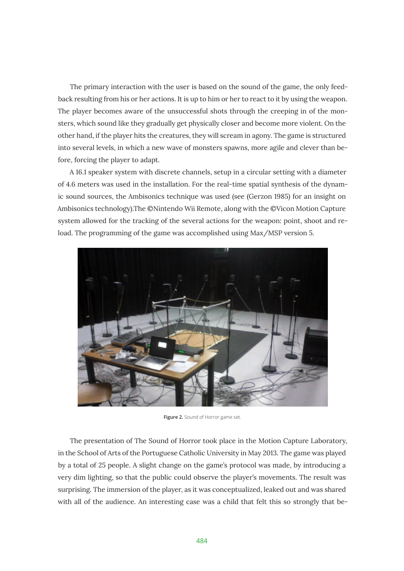The primary interaction with the user is based on the sound of the game, the only feedback resulting from his or her actions. It is up to him or her to react to it by using the weapon. The player becomes aware of the unsuccessful shots through the creeping in of the monsters, which sound like they gradually get physically closer and become more violent. On the other hand, if the player hits the creatures, they will scream in agony. The game is structured into several levels, in which a new wave of monsters spawns, more agile and clever than before, forcing the player to adapt.

A 16.1 speaker system with discrete channels, setup in a circular setting with a diameter of 4.6 meters was used in the installation. For the real-time spatial synthesis of the dynamic sound sources, the Ambisonics technique was used (see (Gerzon 1985) for an insight on Ambisonics technology).The ©Nintendo Wii Remote, along with the ©Vicon Motion Capture system allowed for the tracking of the several actions for the weapon: point, shoot and reload. The programming of the game was accomplished using Max/MSP version 5.



Figure 2. Sound of Horror game set.

The presentation of The Sound of Horror took place in the Motion Capture Laboratory, in the School of Arts of the Portuguese Catholic University in May 2013. The game was played by a total of 25 people. A slight change on the game's protocol was made, by introducing a very dim lighting, so that the public could observe the player's movements. The result was surprising. The immersion of the player, as it was conceptualized, leaked out and was shared with all of the audience. An interesting case was a child that felt this so strongly that be-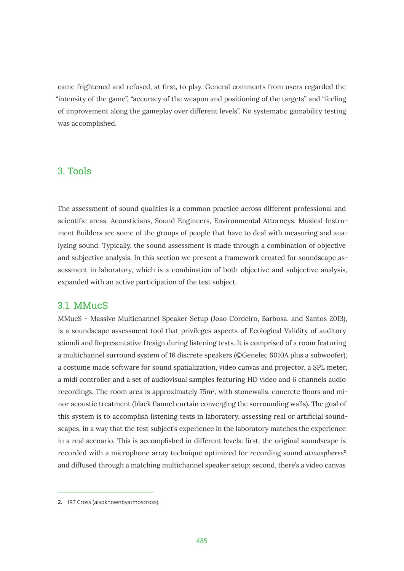came frightened and refused, at frst, to play. General comments from users regarded the "intensity of the game", "accuracy of the weapon and positioning of the targets" and "feeling of improvement along the gameplay over different levels". No systematic gamability testing was accomplished.

## 3. Tools

The assessment of sound qualities is a common practice across different professional and scientifc areas. Acousticians, Sound Engineers, Environmental Attorneys, Musical Instrument Builders are some of the groups of people that have to deal with measuring and analyzing sound. Typically, the sound assessment is made through a combination of objective and subjective analysis. In this section we present a framework created for soundscape assessment in laboratory, which is a combination of both objective and subjective analysis, expanded with an active participation of the test subject.

#### 3.1. MMucS

MMucS - Massive Multichannel Speaker Setup (Joao Cordeiro, Barbosa, and Santos 2013), is a soundscape assessment tool that privileges aspects of Ecological Validity of auditory stimuli and Representative Design during listening tests. It is comprised of a room featuring a multichannel surround system of 16 discrete speakers (©Genelec 6010A plus a subwoofer), a costume made software for sound spatialization, video canvas and projector, a SPL meter, a midi controller and a set of audiovisual samples featuring HD video and 6 channels audio recordings. The room area is approximately  $75m^2$ , with stonewalls, concrete floors and minor acoustic treatment (black fannel curtain converging the surrounding walls). The goal of this system is to accomplish listening tests in laboratory, assessing real or artifcial soundscapes, in a way that the test subject's experience in the laboratory matches the experience in a real scenario. This is accomplished in different levels: frst, the original soundscape is recorded with a microphone array technique optimized for recording sound *atmospheres***<sup>2</sup>** and diffused through a matching multichannel speaker setup; second, there's a video canvas

**<sup>2.</sup>** IRT Cross (alsoknownbyatmoscross).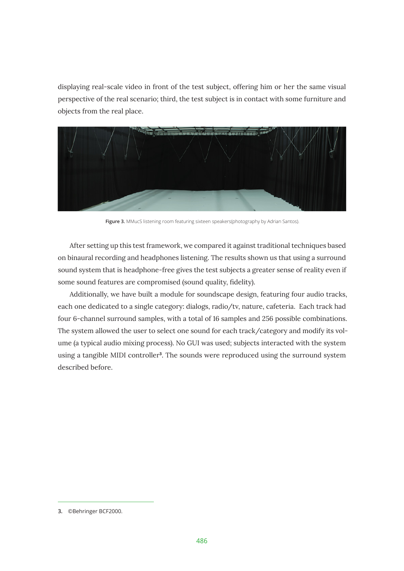displaying real-scale video in front of the test subject, offering him or her the same visual perspective of the real scenario; third, the test subject is in contact with some furniture and objects from the real place.



**Figure 3.** MMucS listening room featuring sixteen speakers(photography by Adrian Santos).

After setting up this test framework, we compared it against traditional techniques based on binaural recording and headphones listening. The results shown us that using a surround sound system that is headphone-free gives the test subjects a greater sense of reality even if some sound features are compromised (sound quality, fdelity).

Additionally, we have built a module for soundscape design, featuring four audio tracks, each one dedicated to a single category: dialogs, radio/tv, nature, cafeteria. Each track had four 6-channel surround samples, with a total of 16 samples and 256 possible combinations. The system allowed the user to select one sound for each track/category and modify its volume (a typical audio mixing process). No GUI was used; subjects interacted with the system using a tangible MIDI controller**<sup>3</sup>** . The sounds were reproduced using the surround system described before.

<sup>3. ©</sup>Behringer BCF2000.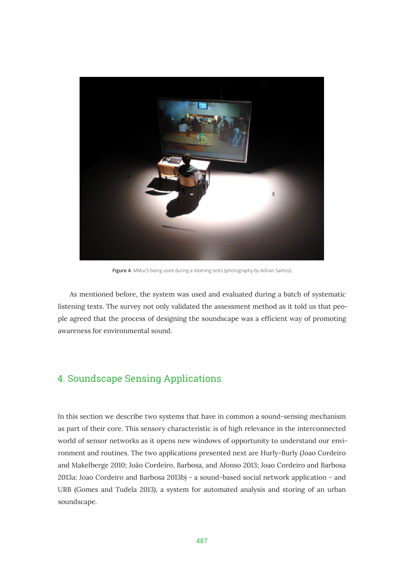

Figure 4. MMucS being used during a listening tests (photography by Adrian Santos).

As mentioned before, the system was used and evaluated during a batch of systematic listening tests. The survey not only validated the assessment method as it told us that people agreed that the process of designing the soundscape was a effcient way of promoting awareness for environmental sound.

# 4. Soundscape Sensing Applications

In this section we describe two systems that have in common a sound-sensing mechanism as part of their core. This sensory characteristic is of high relevance in the interconnected world of sensor networks as it opens new windows of opportunity to understand our environment and routines. The two applications presented next are Hurly-Burly (Joao Cordeiro and Makelberge 2010; João Cordeiro, Barbosa, and Afonso 2013; Joao Cordeiro and Barbosa 2013a; Joao Cordeiro and Barbosa 2013b) - a sound-based social network application - and URB (Gomes and Tudela 2013), a system for automated analysis and storing of an urban soundscape.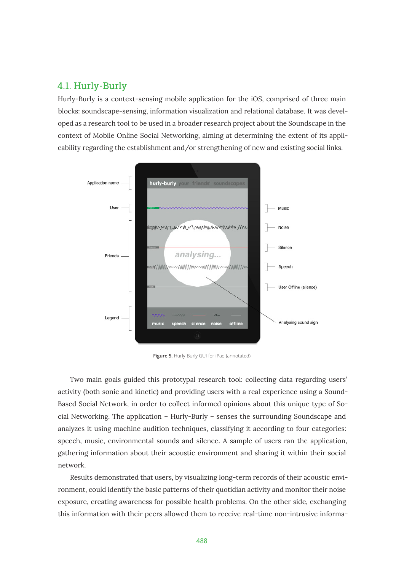## 4.1. Hurly-Burly

Hurly-Burly is a context-sensing mobile application for the iOS, comprised of three main blocks: soundscape-sensing, information visualization and relational database. It was developed as a research tool to be used in a broader research project about the Soundscape in the context of Mobile Online Social Networking, aiming at determining the extent of its applicability regarding the establishment and/or strengthening of new and existing social links.



**Figure 5.** Hurly-Burly GUI for iPad (annotated).

Two main goals guided this prototypal research tool: collecting data regarding users' activity (both sonic and kinetic) and providing users with a real experience using a Sound-Based Social Network, in order to collect informed opinions about this unique type of Social Networking. The application – Hurly-Burly – senses the surrounding Soundscape and analyzes it using machine audition techniques, classifying it according to four categories: speech, music, environmental sounds and silence. A sample of users ran the application, gathering information about their acoustic environment and sharing it within their social network.

Results demonstrated that users, by visualizing long-term records of their acoustic environment, could identify the basic patterns of their quotidian activity and monitor their noise exposure, creating awareness for possible health problems. On the other side, exchanging this information with their peers allowed them to receive real-time non-intrusive informa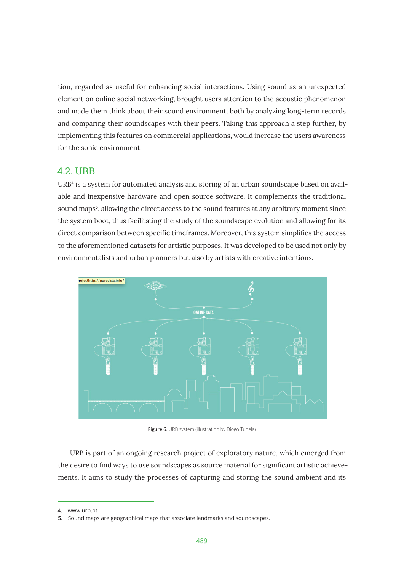tion, regarded as useful for enhancing social interactions. Using sound as an unexpected element on online social networking, brought users attention to the acoustic phenomenon and made them think about their sound environment, both by analyzing long-term records and comparing their soundscapes with their peers. Taking this approach a step further, by implementing this features on commercial applications, would increase the users awareness for the sonic environment.

## 4.2. URB

URB**<sup>4</sup>** is a system for automated analysis and storing of an urban soundscape based on available and inexpensive hardware and open source software. It complements the traditional sound maps**<sup>5</sup>** , allowing the direct access to the sound features at any arbitrary moment since the system boot, thus facilitating the study of the soundscape evolution and allowing for its direct comparison between specifc timeframes. Moreover, this system simplifes the access to the aforementioned datasets for artistic purposes. It was developed to be used not only by environmentalists and urban planners but also by artists with creative intentions.



Figure 6. URB system (illustration by Diogo Tudela)

URB is part of an ongoing research project of exploratory nature, which emerged from the desire to fnd ways to use soundscapes as source material for signifcant artistic achievements. It aims to study the processes of capturing and storing the sound ambient and its

<sup>4.</sup> www.urb.pt

**<sup>5.</sup>** Sound maps are geographical maps that associate landmarks and soundscapes.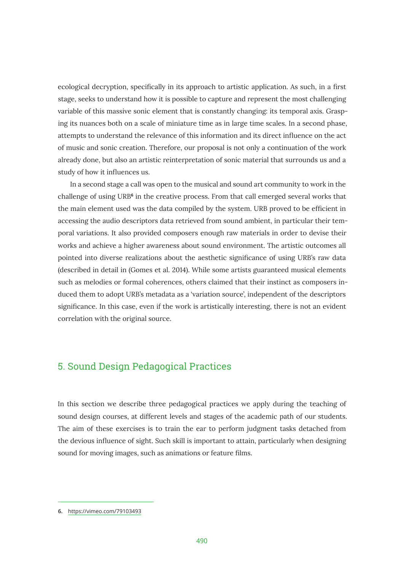ecological decryption, specifcally in its approach to artistic application. As such, in a frst stage, seeks to understand how it is possible to capture and represent the most challenging variable of this massive sonic element that is constantly changing: its temporal axis. Grasping its nuances both on a scale of miniature time as in large time scales. In a second phase, attempts to understand the relevance of this information and its direct infuence on the act of music and sonic creation. Therefore, our proposal is not only a continuation of the work already done, but also an artistic reinterpretation of sonic material that surrounds us and a study of how it infuences us.

In a second stage a call was open to the musical and sound art community to work in the challenge of using URB<sup>6</sup> in the creative process. From that call emerged several works that the main element used was the data compiled by the system. URB proved to be efficient in accessing the audio descriptors data retrieved from sound ambient, in particular their temporal variations. It also provided composers enough raw materials in order to devise their works and achieve a higher awareness about sound environment. The artistic outcomes all pointed into diverse realizations about the aesthetic signifcance of using URB's raw data (described in detail in (Gomes et al. 2014). While some artists guaranteed musical elements such as melodies or formal coherences, others claimed that their instinct as composers induced them to adopt URB's metadata as a 'variation source', independent of the descriptors signifcance. In this case, even if the work is artistically interesting, there is not an evident correlation with the original source.

# 5. Sound Design Pedagogical Practices

In this section we describe three pedagogical practices we apply during the teaching of sound design courses, at different levels and stages of the academic path of our students. The aim of these exercises is to train the ear to perform judgment tasks detached from the devious infuence of sight. Such skill is important to attain, particularly when designing sound for moving images, such as animations or feature flms.

**<sup>6.</sup>** https://vimeo.com/79103493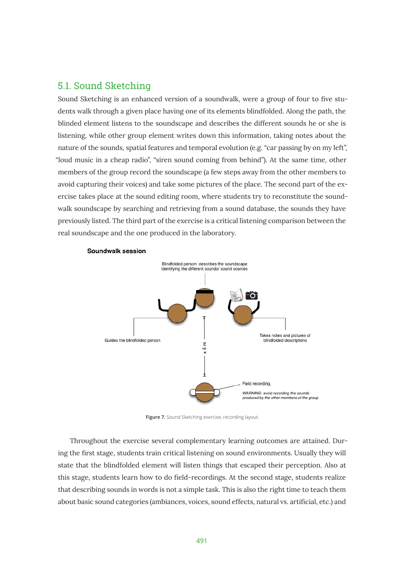## 5.1. Sound Sketching

Sound Sketching is an enhanced version of a soundwalk, were a group of four to fve students walk through a given place having one of its elements blindfolded. Along the path, the blinded element listens to the soundscape and describes the different sounds he or she is listening, while other group element writes down this information, taking notes about the nature of the sounds, spatial features and temporal evolution (e.g. "car passing by on my left", "loud music in a cheap radio", "siren sound coming from behind"). At the same time, other members of the group record the soundscape (a few steps away from the other members to avoid capturing their voices) and take some pictures of the place. The second part of the exercise takes place at the sound editing room, where students try to reconstitute the soundwalk soundscape by searching and retrieving from a sound database, the sounds they have previously listed. The third part of the exercise is a critical listening comparison between the real soundscape and the one produced in the laboratory.



Soundwalk session

**Figure 7.** Sound Sketching exercise, recording layout.

Throughout the exercise several complementary learning outcomes are attained. During the frst stage, students train critical listening on sound environments. Usually they will state that the blindfolded element will listen things that escaped their perception. Also at this stage, students learn how to do feld-recordings. At the second stage, students realize that describing sounds in words is not a simple task. This is also the right time to teach them about basic sound categories (ambiances, voices, sound effects, natural vs. artifcial, etc.) and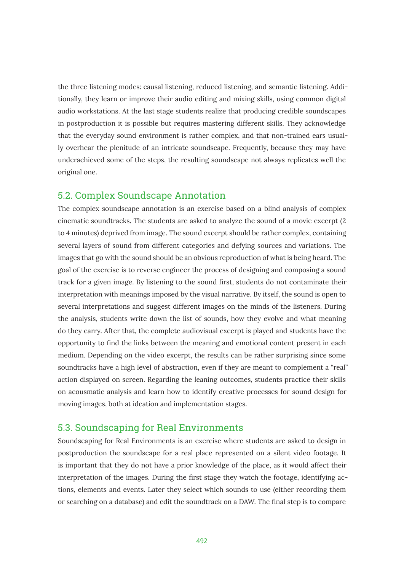the three listening modes: causal listening, reduced listening, and semantic listening. Additionally, they learn or improve their audio editing and mixing skills, using common digital audio workstations. At the last stage students realize that producing credible soundscapes in postproduction it is possible but requires mastering different skills. They acknowledge that the everyday sound environment is rather complex, and that non-trained ears usually overhear the plenitude of an intricate soundscape. Frequently, because they may have underachieved some of the steps, the resulting soundscape not always replicates well the original one.

#### 5.2. Complex Soundscape Annotation

The complex soundscape annotation is an exercise based on a blind analysis of complex cinematic soundtracks. The students are asked to analyze the sound of a movie excerpt (2 to 4 minutes) deprived from image. The sound excerpt should be rather complex, containing several layers of sound from different categories and defying sources and variations. The images that go with the sound should be an obvious reproduction of what is being heard. The goal of the exercise is to reverse engineer the process of designing and composing a sound track for a given image. By listening to the sound frst, students do not contaminate their interpretation with meanings imposed by the visual narrative. By itself, the sound is open to several interpretations and suggest different images on the minds of the listeners. During the analysis, students write down the list of sounds, how they evolve and what meaning do they carry. After that, the complete audiovisual excerpt is played and students have the opportunity to fnd the links between the meaning and emotional content present in each medium. Depending on the video excerpt, the results can be rather surprising since some soundtracks have a high level of abstraction, even if they are meant to complement a "real" action displayed on screen. Regarding the leaning outcomes, students practice their skills on acousmatic analysis and learn how to identify creative processes for sound design for moving images, both at ideation and implementation stages.

#### 5.3. Soundscaping for Real Environments

Soundscaping for Real Environments is an exercise where students are asked to design in postproduction the soundscape for a real place represented on a silent video footage. It is important that they do not have a prior knowledge of the place, as it would affect their interpretation of the images. During the frst stage they watch the footage, identifying actions, elements and events. Later they select which sounds to use (either recording them or searching on a database) and edit the soundtrack on a DAW. The fnal step is to compare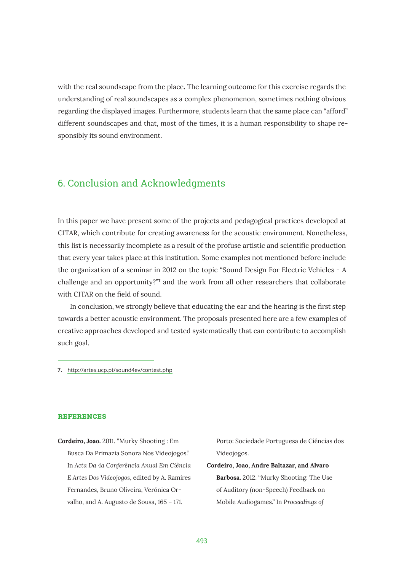with the real soundscape from the place. The learning outcome for this exercise regards the understanding of real soundscapes as a complex phenomenon, sometimes nothing obvious regarding the displayed images. Furthermore, students learn that the same place can "afford" different soundscapes and that, most of the times, it is a human responsibility to shape responsibly its sound environment.

# 6. Conclusion and Acknowledgments

In this paper we have present some of the projects and pedagogical practices developed at CITAR, which contribute for creating awareness for the acoustic environment. Nonetheless, this list is necessarily incomplete as a result of the profuse artistic and scientifc production that every year takes place at this institution. Some examples not mentioned before include the organization of a seminar in 2012 on the topic "Sound Design For Electric Vehicles - A challenge and an opportunity?<sup>"7</sup> and the work from all other researchers that collaborate with CITAR on the feld of sound.

In conclusion, we strongly believe that educating the ear and the hearing is the frst step towards a better acoustic environment. The proposals presented here are a few examples of creative approaches developed and tested systematically that can contribute to accomplish such goal.

**Ʌ**<http://artes.ucp.pt/sound4ev/contest.php>

#### **REFERENCES**

**Cordeiro, Joao.** 2011. "Murky Shooting : Em Busca Da Primazia Sonora Nos Videojogos." In *Acta Da 4a Conferência Anual Em Ciência E Artes Dos Videojogos*, edited by A. Ramires Fernandes, Bruno Oliveira, Verónica Orvalho, and A. Augusto de Sousa, 165 – 171.

Porto: Sociedade Portuguesa de Ciências dos Videojogos.

**Cordeiro, Joao, Andre Baltazar, and Alvaro Barbosa.** 2012. "Murky Shooting: The Use of Auditory (non-Speech) Feedback on Mobile Audiogames." In *Proceedings of*